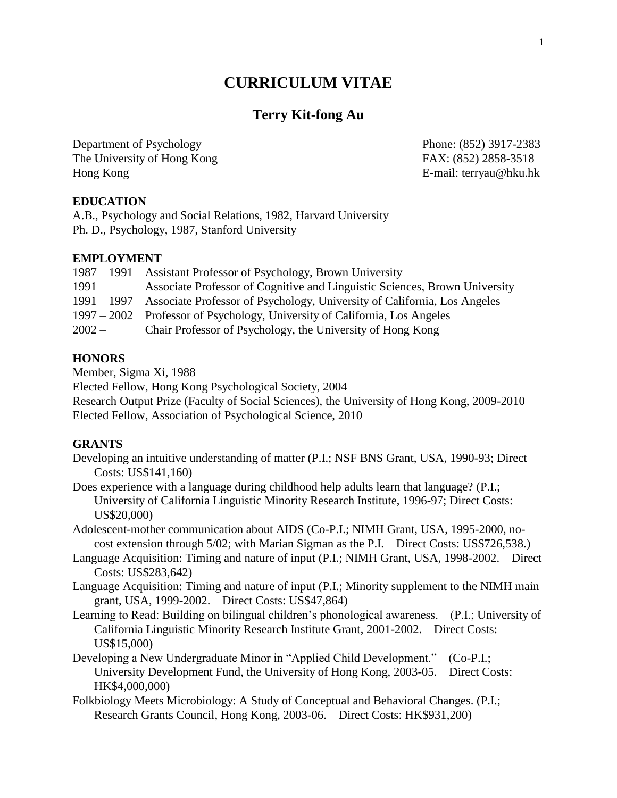# **CURRICULUM VITAE**

## **Terry Kit-fong Au**

Department of Psychology Phone: (852) 3917-2383 The University of Hong Kong FAX: (852) 2858-3518 Hong Kong E-mail: terryau@hku.hk

## **EDUCATION**

A.B., Psychology and Social Relations, 1982, Harvard University Ph. D., Psychology, 1987, Stanford University

## **EMPLOYMENT**

|          | 1987 – 1991 Assistant Professor of Psychology, Brown University                      |
|----------|--------------------------------------------------------------------------------------|
| 1991     | Associate Professor of Cognitive and Linguistic Sciences, Brown University           |
|          | 1991 – 1997 Associate Professor of Psychology, University of California, Los Angeles |
|          | 1997 – 2002 Professor of Psychology, University of California, Los Angeles           |
| $2002 -$ | Chair Professor of Psychology, the University of Hong Kong                           |

## **HONORS**

Member, Sigma Xi, 1988

Elected Fellow, Hong Kong Psychological Society, 2004

Research Output Prize (Faculty of Social Sciences), the University of Hong Kong, 2009-2010 Elected Fellow, Association of Psychological Science, 2010

#### **GRANTS**

Developing an intuitive understanding of matter (P.I.; NSF BNS Grant, USA, 1990-93; Direct Costs: US\$141,160)

Does experience with a language during childhood help adults learn that language? (P.I.; University of California Linguistic Minority Research Institute, 1996-97; Direct Costs: US\$20,000)

Adolescent-mother communication about AIDS (Co-P.I.; NIMH Grant, USA, 1995-2000, nocost extension through 5/02; with Marian Sigman as the P.I. Direct Costs: US\$726,538.)

- Language Acquisition: Timing and nature of input (P.I.; NIMH Grant, USA, 1998-2002. Direct Costs: US\$283,642)
- Language Acquisition: Timing and nature of input (P.I.; Minority supplement to the NIMH main grant, USA, 1999-2002. Direct Costs: US\$47,864)
- Learning to Read: Building on bilingual children's phonological awareness. (P.I.; University of California Linguistic Minority Research Institute Grant, 2001-2002. Direct Costs: US\$15,000)
- Developing a New Undergraduate Minor in "Applied Child Development." (Co-P.I.; University Development Fund, the University of Hong Kong, 2003-05. Direct Costs: HK\$4,000,000)
- Folkbiology Meets Microbiology: A Study of Conceptual and Behavioral Changes. (P.I.; Research Grants Council, Hong Kong, 2003-06. Direct Costs: HK\$931,200)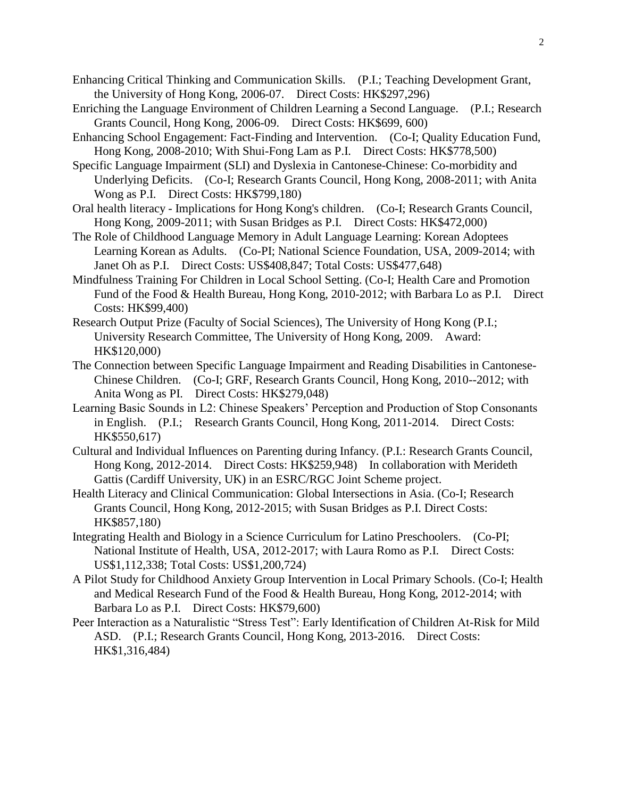- Enhancing Critical Thinking and Communication Skills. (P.I.; Teaching Development Grant, the University of Hong Kong, 2006-07. Direct Costs: HK\$297,296)
- Enriching the Language Environment of Children Learning a Second Language. (P.I.; Research Grants Council, Hong Kong, 2006-09. Direct Costs: HK\$699, 600)
- Enhancing School Engagement: Fact-Finding and Intervention. (Co-I; Quality Education Fund, Hong Kong, 2008-2010; With Shui-Fong Lam as P.I. Direct Costs: HK\$778,500)
- Specific Language Impairment (SLI) and Dyslexia in Cantonese-Chinese: Co-morbidity and Underlying Deficits. (Co-I; Research Grants Council, Hong Kong, 2008-2011; with Anita Wong as P.I. Direct Costs: HK\$799,180)
- Oral health literacy Implications for Hong Kong's children. (Co-I; Research Grants Council, Hong Kong, 2009-2011; with Susan Bridges as P.I. Direct Costs: HK\$472,000)
- The Role of Childhood Language Memory in Adult Language Learning: Korean Adoptees Learning Korean as Adults. (Co-PI; National Science Foundation, USA, 2009-2014; with Janet Oh as P.I. Direct Costs: US\$408,847; Total Costs: US\$477,648)
- Mindfulness Training For Children in Local School Setting. (Co-I; Health Care and Promotion Fund of the Food & Health Bureau, Hong Kong, 2010-2012; with Barbara Lo as P.I. Direct Costs: HK\$99,400)
- Research Output Prize (Faculty of Social Sciences), The University of Hong Kong (P.I.; University Research Committee, The University of Hong Kong, 2009. Award: HK\$120,000)
- The Connection between Specific Language Impairment and Reading Disabilities in Cantonese-Chinese Children. (Co-I; GRF, Research Grants Council, Hong Kong, 2010--2012; with Anita Wong as PI. Direct Costs: HK\$279,048)
- Learning Basic Sounds in L2: Chinese Speakers' Perception and Production of Stop Consonants in English. (P.I.; Research Grants Council, Hong Kong, 2011-2014. Direct Costs: HK\$550,617)
- Cultural and Individual Influences on Parenting during Infancy. (P.I.: Research Grants Council, Hong Kong, 2012-2014. Direct Costs: HK\$259,948) In collaboration with Merideth Gattis (Cardiff University, UK) in an ESRC/RGC Joint Scheme project.
- Health Literacy and Clinical Communication: Global Intersections in Asia. (Co-I; Research Grants Council, Hong Kong, 2012-2015; with Susan Bridges as P.I. Direct Costs: HK\$857,180)
- Integrating Health and Biology in a Science Curriculum for Latino Preschoolers. (Co-PI; National Institute of Health, USA, 2012-2017; with Laura Romo as P.I. Direct Costs: US\$1,112,338; Total Costs: US\$1,200,724)
- A Pilot Study for Childhood Anxiety Group Intervention in Local Primary Schools. (Co-I; Health and Medical Research Fund of the Food & Health Bureau, Hong Kong, 2012-2014; with Barbara Lo as P.I. Direct Costs: HK\$79,600)
- Peer Interaction as a Naturalistic "Stress Test": Early Identification of Children At-Risk for Mild ASD. (P.I.; Research Grants Council, Hong Kong, 2013-2016. Direct Costs: HK\$1,316,484)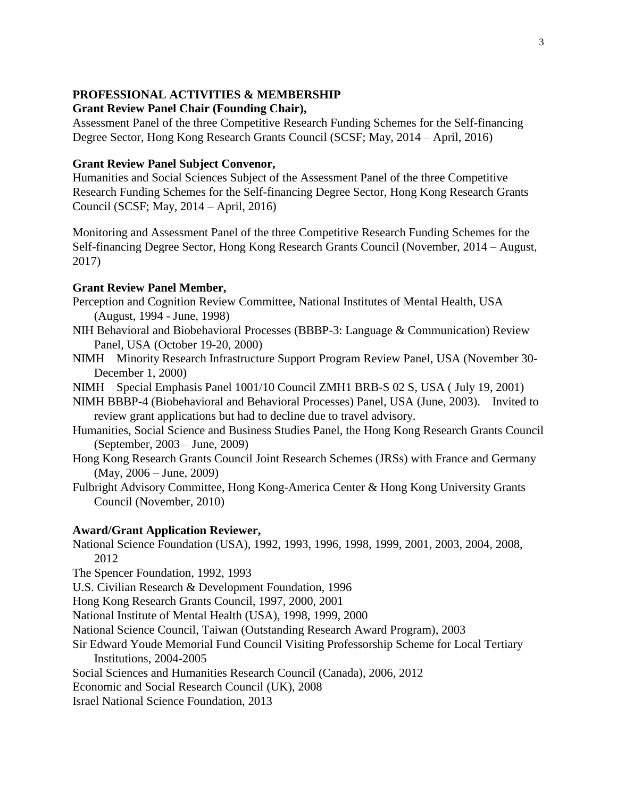## **PROFESSIONAL ACTIVITIES & MEMBERSHIP**

#### **Grant Review Panel Chair (Founding Chair),**

Assessment Panel of the three Competitive Research Funding Schemes for the Self-financing Degree Sector, Hong Kong Research Grants Council (SCSF; May, 2014 – April, 2016)

#### **Grant Review Panel Subject Convenor,**

Humanities and Social Sciences Subject of the Assessment Panel of the three Competitive Research Funding Schemes for the Self-financing Degree Sector, Hong Kong Research Grants Council (SCSF; May, 2014 – April, 2016)

Monitoring and Assessment Panel of the three Competitive Research Funding Schemes for the Self-financing Degree Sector, Hong Kong Research Grants Council (November, 2014 – August, 2017)

#### **Grant Review Panel Member,**

- Perception and Cognition Review Committee, National Institutes of Mental Health, USA (August, 1994 - June, 1998)
- NIH Behavioral and Biobehavioral Processes (BBBP-3: Language & Communication) Review Panel, USA (October 19-20, 2000)
- NIMH Minority Research Infrastructure Support Program Review Panel, USA (November 30- December 1, 2000)

NIMH Special Emphasis Panel 1001/10 Council ZMH1 BRB-S 02 S, USA ( July 19, 2001)

- NIMH BBBP-4 (Biobehavioral and Behavioral Processes) Panel, USA (June, 2003). Invited to review grant applications but had to decline due to travel advisory.
- Humanities, Social Science and Business Studies Panel, the Hong Kong Research Grants Council (September, 2003 – June, 2009)
- Hong Kong Research Grants Council Joint Research Schemes (JRSs) with France and Germany (May, 2006 – June, 2009)
- Fulbright Advisory Committee, Hong Kong-America Center & Hong Kong University Grants Council (November, 2010)

#### **Award/Grant Application Reviewer,**

- National Science Foundation (USA), 1992, 1993, 1996, 1998, 1999, 2001, 2003, 2004, 2008, 2012
- The Spencer Foundation, 1992, 1993
- U.S. Civilian Research & Development Foundation, 1996
- Hong Kong Research Grants Council, 1997, 2000, 2001
- National Institute of Mental Health (USA), 1998, 1999, 2000
- National Science Council, Taiwan (Outstanding Research Award Program), 2003
- Sir Edward Youde Memorial Fund Council Visiting Professorship Scheme for Local Tertiary Institutions, 2004-2005
- Social Sciences and Humanities Research Council (Canada), 2006, 2012
- Economic and Social Research Council (UK), 2008
- Israel National Science Foundation, 2013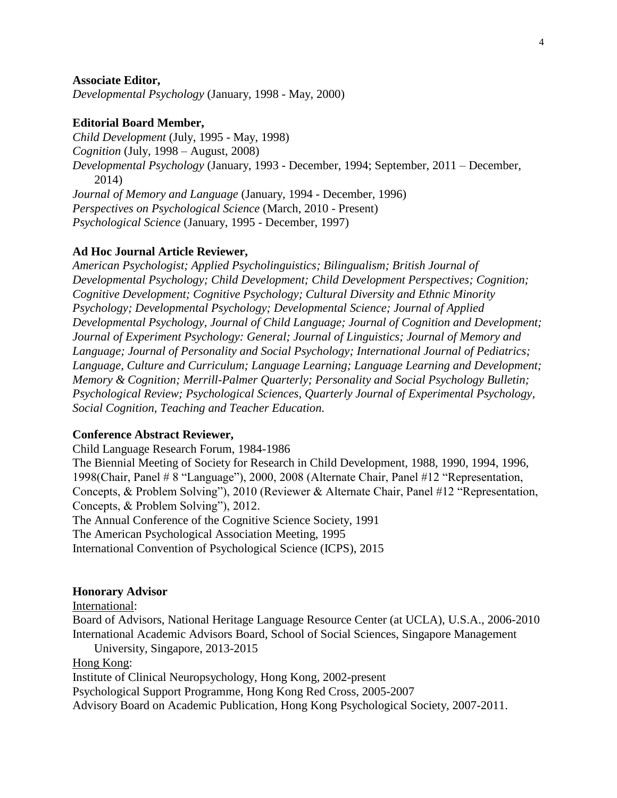#### **Associate Editor,**

*Developmental Psychology* (January, 1998 - May, 2000)

#### **Editorial Board Member,**

*Child Development* (July, 1995 - May, 1998) *Cognition* (July, 1998 – August, 2008) *Developmental Psychology* (January, 1993 - December, 1994; September, 2011 – December, 2014) *Journal of Memory and Language* (January, 1994 - December, 1996) *Perspectives on Psychological Science* (March, 2010 - Present) *Psychological Science* (January, 1995 - December, 1997)

#### **Ad Hoc Journal Article Reviewer,**

*American Psychologist; Applied Psycholinguistics; Bilingualism; British Journal of Developmental Psychology; Child Development; Child Development Perspectives; Cognition; Cognitive Development; Cognitive Psychology; Cultural Diversity and Ethnic Minority Psychology; Developmental Psychology; Developmental Science; Journal of Applied Developmental Psychology, Journal of Child Language; Journal of Cognition and Development; Journal of Experiment Psychology: General; Journal of Linguistics; Journal of Memory and Language; Journal of Personality and Social Psychology; International Journal of Pediatrics; Language, Culture and Curriculum; Language Learning; Language Learning and Development; Memory & Cognition; Merrill-Palmer Quarterly; Personality and Social Psychology Bulletin; Psychological Review; Psychological Sciences, Quarterly Journal of Experimental Psychology, Social Cognition, Teaching and Teacher Education.*

#### **Conference Abstract Reviewer,**

Child Language Research Forum, 1984-1986

The Biennial Meeting of Society for Research in Child Development, 1988, 1990, 1994, 1996, 1998(Chair, Panel # 8 "Language"), 2000, 2008 (Alternate Chair, Panel #12 "Representation, Concepts, & Problem Solving"), 2010 (Reviewer & Alternate Chair, Panel #12 "Representation, Concepts, & Problem Solving"), 2012.

The Annual Conference of the Cognitive Science Society, 1991

The American Psychological Association Meeting, 1995

International Convention of Psychological Science (ICPS), 2015

#### **Honorary Advisor**

International:

Board of Advisors, National Heritage Language Resource Center (at UCLA), U.S.A., 2006-2010 International Academic Advisors Board, School of Social Sciences, Singapore Management

University, Singapore, 2013-2015

Hong Kong:

Institute of Clinical Neuropsychology, Hong Kong, 2002-present

Psychological Support Programme, Hong Kong Red Cross, 2005-2007

Advisory Board on Academic Publication, Hong Kong Psychological Society, 2007-2011.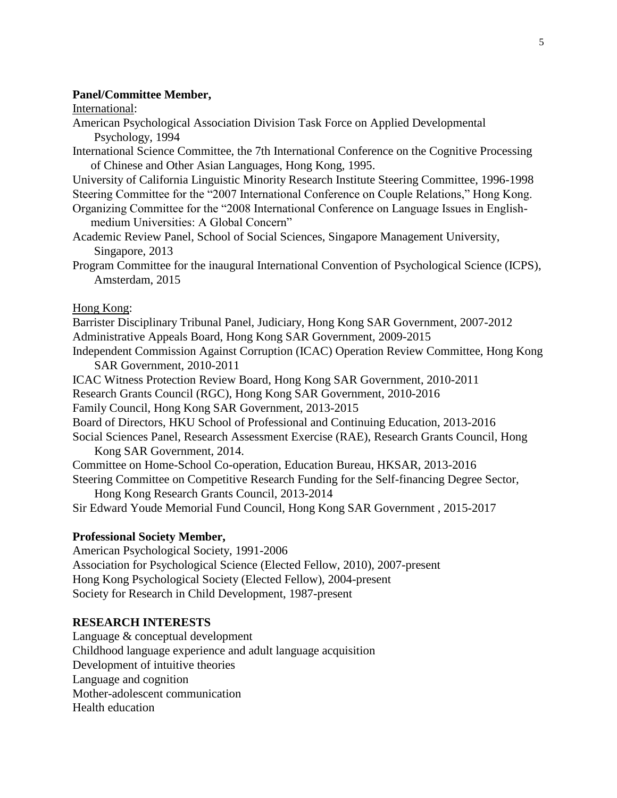#### **Panel/Committee Member,**

International:

- American Psychological Association Division Task Force on Applied Developmental Psychology, 1994
- International Science Committee, the 7th International Conference on the Cognitive Processing of Chinese and Other Asian Languages, Hong Kong, 1995.
- University of California Linguistic Minority Research Institute Steering Committee, 1996-1998 Steering Committee for the "2007 International Conference on Couple Relations," Hong Kong.
- Organizing Committee for the "2008 International Conference on Language Issues in Englishmedium Universities: A Global Concern"
- Academic Review Panel, School of Social Sciences, Singapore Management University, Singapore, 2013
- Program Committee for the inaugural International Convention of Psychological Science (ICPS), Amsterdam, 2015

Hong Kong:

Barrister Disciplinary Tribunal Panel, Judiciary, Hong Kong SAR Government, 2007-2012 Administrative Appeals Board, Hong Kong SAR Government, 2009-2015

Independent Commission Against Corruption (ICAC) Operation Review Committee, Hong Kong SAR Government, 2010-2011

ICAC Witness Protection Review Board, Hong Kong SAR Government, 2010-2011

Research Grants Council (RGC), Hong Kong SAR Government, 2010-2016

Family Council, Hong Kong SAR Government, 2013-2015

Board of Directors, HKU School of Professional and Continuing Education, 2013-2016

- Social Sciences Panel, Research Assessment Exercise (RAE), Research Grants Council, Hong Kong SAR Government, 2014.
- Committee on Home-School Co-operation, Education Bureau, HKSAR, 2013-2016 Steering Committee on Competitive Research Funding for the Self-financing Degree Sector,

Hong Kong Research Grants Council, 2013-2014 Sir Edward Youde Memorial Fund Council, Hong Kong SAR Government , 2015-2017

## **Professional Society Member,**

American Psychological Society, 1991-2006 Association for Psychological Science (Elected Fellow, 2010), 2007-present Hong Kong Psychological Society (Elected Fellow), 2004-present Society for Research in Child Development, 1987-present

## **RESEARCH INTERESTS**

Language & conceptual development Childhood language experience and adult language acquisition Development of intuitive theories Language and cognition Mother-adolescent communication Health education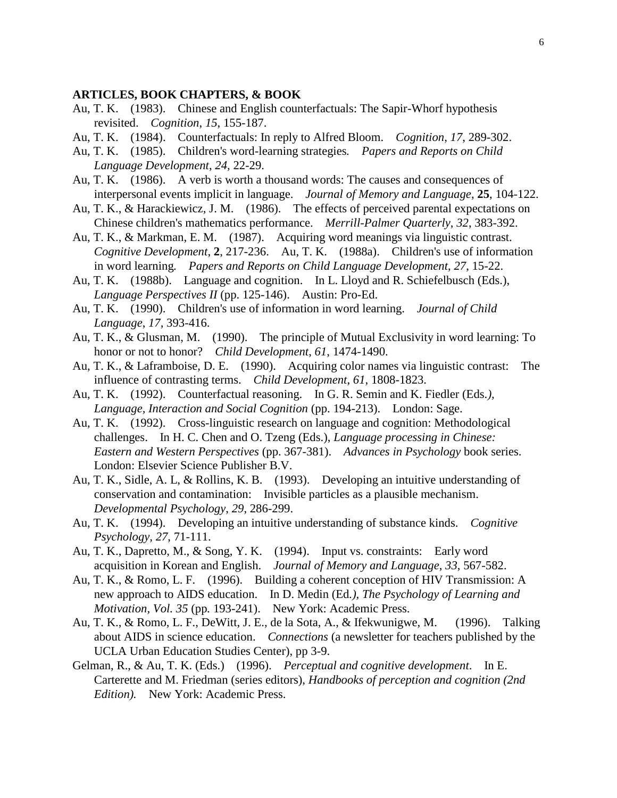#### **ARTICLES, BOOK CHAPTERS, & BOOK**

- Au, T. K. (1983). Chinese and English counterfactuals: The Sapir-Whorf hypothesis revisited. *Cognition*, *15*, 155-187.
- Au, T. K. (1984). Counterfactuals: In reply to Alfred Bloom. *Cognition*, *17*, 289-302.
- Au, T. K. (1985). Children's word-learning strategies*. Papers and Reports on Child Language Development*, *24,* 22-29.
- Au, T. K. (1986). A verb is worth a thousand words: The causes and consequences of interpersonal events implicit in language. *Journal of Memory and Language*, **25**, 104-122.
- Au, T. K., & Harackiewicz, J. M. (1986). The effects of perceived parental expectations on Chinese children's mathematics performance. *Merrill-Palmer Quarterly*, *32*, 383-392.
- Au, T. K., & Markman, E. M. (1987). Acquiring word meanings via linguistic contrast. *Cognitive Development*, **2**, 217-236. Au, T. K. (1988a). Children's use of information in word learning*. Papers and Reports on Child Language Development*, *27*, 15-22.
- Au, T. K. (1988b). Language and cognition. In L. Lloyd and R. Schiefelbusch (Eds.), *Language Perspectives II* (pp. 125-146). Austin: Pro-Ed.
- Au, T. K. (1990). Children's use of information in word learning. *Journal of Child Language*, *17,* 393-416.
- Au, T. K., & Glusman, M. (1990). The principle of Mutual Exclusivity in word learning: To honor or not to honor? *Child Development*, *61*, 1474-1490.
- Au, T. K., & Laframboise, D. E. (1990). Acquiring color names via linguistic contrast: The influence of contrasting terms. *Child Development*, *61*, 1808-1823.
- Au, T. K. (1992). Counterfactual reasoning. In G. R. Semin and K. Fiedler (Eds*.), Language, Interaction and Social Cognition* (pp. 194-213). London: Sage.
- Au, T. K. (1992). Cross-linguistic research on language and cognition: Methodological challenges. In H. C. Chen and O. Tzeng (Eds.), *Language processing in Chinese: Eastern and Western Perspectives* (pp. 367-381). *Advances in Psychology* book series. London: Elsevier Science Publisher B.V.
- Au, T. K., Sidle, A. L, & Rollins, K. B. (1993). Developing an intuitive understanding of conservation and contamination: Invisible particles as a plausible mechanism. *Developmental Psychology*, *29*, 286-299.
- Au, T. K. (1994). Developing an intuitive understanding of substance kinds. *Cognitive Psychology, 27*, 71-111.
- Au, T. K., Dapretto, M., & Song, Y. K. (1994). Input vs. constraints: Early word acquisition in Korean and English. *Journal of Memory and Language*, *33*, 567-582.
- Au, T. K., & Romo, L. F. (1996). Building a coherent conception of HIV Transmission: A new approach to AIDS education. In D. Medin (Ed*.), The Psychology of Learning and Motivation, Vol. 35* (pp*.* 193-241). New York: Academic Press.
- Au, T. K., & Romo, L. F., DeWitt, J. E., de la Sota, A., & Ifekwunigwe, M. (1996). Talking about AIDS in science education. *Connections* (a newsletter for teachers published by the UCLA Urban Education Studies Center), pp 3-9.
- Gelman, R., & Au, T. K. (Eds.) (1996). *Perceptual and cognitive development*. In E. Carterette and M. Friedman (series editors), *Handbooks of perception and cognition (2nd Edition).* New York: Academic Press.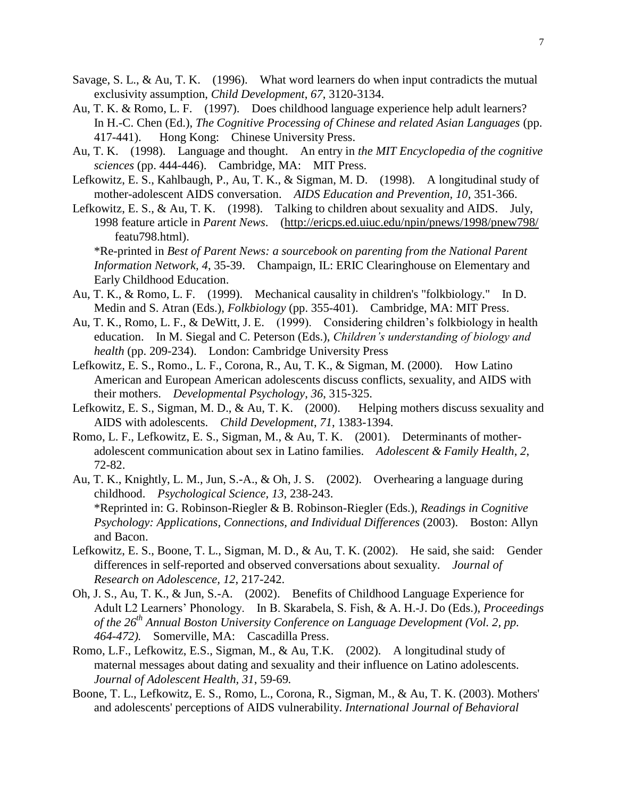- Savage, S. L., & Au, T. K. (1996). What word learners do when input contradicts the mutual exclusivity assumption, *Child Development*, *67*, 3120-3134.
- Au, T. K. & Romo, L. F. (1997). Does childhood language experience help adult learners? In H.-C. Chen (Ed.), *The Cognitive Processing of Chinese and related Asian Languages* (pp. 417-441). Hong Kong: Chinese University Press.
- Au, T. K. (1998). Language and thought. An entry in *the MIT Encyclopedia of the cognitive sciences* (pp. 444-446). Cambridge, MA: MIT Press.
- Lefkowitz, E. S., Kahlbaugh, P., Au, T. K., & Sigman, M. D. (1998). A longitudinal study of mother-adolescent AIDS conversation. *AIDS Education and Prevention, 10,* 351-366.
- Lefkowitz, E. S., & Au, T. K. (1998). Talking to children about sexuality and AIDS. July, 1998 feature article in *Parent News*. [\(http://ericps.ed.uiuc.edu/npin/pnews/1998/pnew798/](http://ericps.ed.uiuc.edu/npin/pnews/1998/pnew798/) featu798.html).

\*Re-printed in *Best of Parent News: a sourcebook on parenting from the National Parent Information Network, 4*, 35-39. Champaign, IL: ERIC Clearinghouse on Elementary and Early Childhood Education.

- Au, T. K., & Romo, L. F. (1999). Mechanical causality in children's "folkbiology." In D. Medin and S. Atran (Eds.), *Folkbiology* (pp. 355-401). Cambridge, MA: MIT Press.
- Au, T. K., Romo, L. F., & DeWitt, J. E. (1999). Considering children's folkbiology in health education. In M. Siegal and C. Peterson (Eds.), *Children's understanding of biology and health* (pp. 209-234). London: Cambridge University Press
- Lefkowitz, E. S., Romo., L. F., Corona, R., Au, T. K., & Sigman, M. (2000). How Latino American and European American adolescents discuss conflicts, sexuality, and AIDS with their mothers. *Developmental Psychology*, *36*, 315-325.
- Lefkowitz, E. S., Sigman, M. D., & Au, T. K. (2000). Helping mothers discuss sexuality and AIDS with adolescents. *Child Development*, *71*, 1383-1394.
- Romo, L. F., Lefkowitz, E. S., Sigman, M., & Au, T. K. (2001). Determinants of motheradolescent communication about sex in Latino families. *Adolescent & Family Health*, *2*, 72-82.
- Au, T. K., Knightly, L. M., Jun, S.-A., & Oh, J. S. (2002). Overhearing a language during childhood. *Psychological Science, 13*, 238-243. \*Reprinted in: G. Robinson-Riegler & B. Robinson-Riegler (Eds.), *Readings in Cognitive Psychology: Applications, Connections, and Individual Differences* (2003). Boston: Allyn and Bacon.
- Lefkowitz, E. S., Boone, T. L., Sigman, M. D., & Au, T. K. (2002). He said, she said: Gender differences in self-reported and observed conversations about sexuality. *Journal of Research on Adolescence, 12*, 217-242.
- Oh, J. S., Au, T. K., & Jun, S.-A. (2002). Benefits of Childhood Language Experience for Adult L2 Learners' Phonology. In B. Skarabela, S. Fish, & A. H.-J. Do (Eds.), *Proceedings of the 26th Annual Boston University Conference on Language Development (Vol. 2, pp. 464-472).* Somerville, MA: Cascadilla Press.
- Romo, L.F., Lefkowitz, E.S., Sigman, M., & Au, T.K. (2002). A longitudinal study of maternal messages about dating and sexuality and their influence on Latino adolescents. *Journal of Adolescent Health, 31*, 59-69*.*
- Boone, T. L., Lefkowitz, E. S., Romo, L., Corona, R., Sigman, M., & Au, T. K. (2003). Mothers' and adolescents' perceptions of AIDS vulnerability. *International Journal of Behavioral*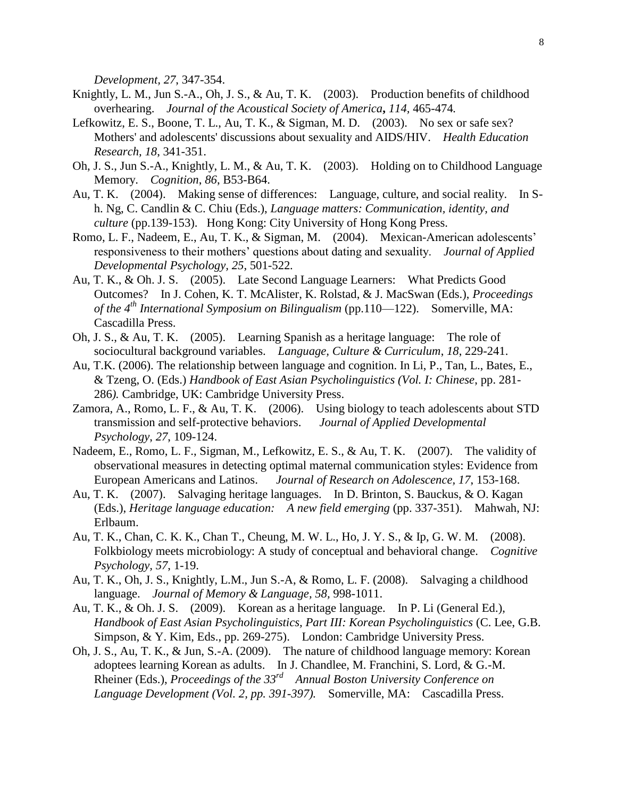*Development, 27*, 347-354.

- Knightly, L. M., Jun S.-A., Oh, J. S., & Au, T. K. (2003). Production benefits of childhood overhearing. *Journal of the Acoustical Society of America***,** *114,* 465-474*.*
- Lefkowitz, E. S., Boone, T. L., Au, T. K., & Sigman, M. D. (2003). No sex or safe sex? Mothers' and adolescents' discussions about sexuality and AIDS/HIV. *Health Education Research, 18*, 341-351.
- Oh, J. S., Jun S.-A., Knightly, L. M., & Au, T. K. (2003). Holding on to Childhood Language Memory. *Cognition*, *86*, B53-B64.
- Au, T. K. (2004). Making sense of differences: Language, culture, and social reality. In Sh. Ng, C. Candlin & C. Chiu (Eds.), *Language matters: Communication, identity, and culture* (pp.139-153). Hong Kong: City University of Hong Kong Press.
- Romo, L. F., Nadeem, E., Au, T. K., & Sigman, M. (2004). Mexican-American adolescents' responsiveness to their mothers' questions about dating and sexuality. *Journal of Applied Developmental Psychology, 25*, 501-522*.*
- Au, T. K., & Oh. J. S. (2005). Late Second Language Learners: What Predicts Good Outcomes? In J. Cohen, K. T. McAlister, K. Rolstad, & J. MacSwan (Eds.), *Proceedings of the 4th International Symposium on Bilingualism* (pp.110—122). Somerville, MA: Cascadilla Press.
- Oh, J. S., & Au, T. K. (2005). Learning Spanish as a heritage language: The role of sociocultural background variables. *Language, Culture & Curriculum*, *18*, 229-241.
- Au, T.K. (2006). The relationship between language and cognition. In Li, P., Tan, L., Bates, E., & Tzeng, O. (Eds.) *Handbook of East Asian Psycholinguistics (Vol. I: Chinese*, pp. 281- 286*).* Cambridge, UK: Cambridge University Press.
- Zamora, A., Romo, L. F., & Au, T. K. (2006). Using biology to teach adolescents about STD transmission and self-protective behaviors. *Journal of Applied Developmental Psychology*, *27*, 109-124.
- Nadeem, E., Romo, L. F., Sigman, M., Lefkowitz, E. S., & Au, T. K. (2007). The validity of observational measures in detecting optimal maternal communication styles: Evidence from European Americans and Latinos. *Journal of Research on Adolescence, 17*, 153-168.
- Au, T. K. (2007). Salvaging heritage languages. In D. Brinton, S. Bauckus, & O. Kagan (Eds.), *Heritage language education: A new field emerging* (pp. 337-351). Mahwah, NJ: Erlbaum.
- Au, T. K., Chan, C. K. K., Chan T., Cheung, M. W. L., Ho, J. Y. S., & Ip, G. W. M. (2008). Folkbiology meets microbiology: A study of conceptual and behavioral change. *Cognitive Psychology, 57*, 1-19.
- Au, T. K., Oh, J. S., Knightly, L.M., Jun S.-A, & Romo, L. F. (2008). Salvaging a childhood language. *Journal of Memory & Language, 58,* 998-1011.
- Au, T. K., & Oh. J. S. (2009). Korean as a heritage language. In P. Li (General Ed.), *Handbook of East Asian Psycholinguistics, Part III: Korean Psycholinguistics* (C. Lee, G.B. Simpson, & Y. Kim, Eds., pp. 269-275). London: Cambridge University Press.
- Oh, J. S., Au, T. K., & Jun, S.-A. (2009). The nature of childhood language memory: Korean adoptees learning Korean as adults. In J. Chandlee, M. Franchini, S. Lord, & G.-M. Rheiner (Eds.), *Proceedings of the 33rd Annual Boston University Conference on Language Development (Vol. 2, pp. 391-397).* Somerville, MA: Cascadilla Press.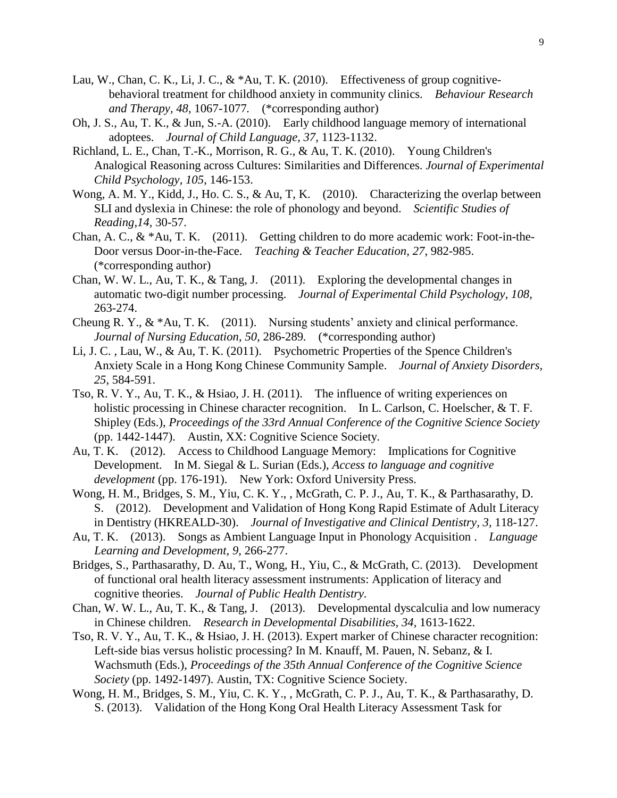- Lau, W., Chan, C. K., Li, J. C.,  $\& *Au$ , T. K. (2010). Effectiveness of group cognitivebehavioral treatment for childhood anxiety in community clinics. *Behaviour Research and Therapy, 48,* 1067-1077*.* (\*corresponding author)
- Oh, J. S., Au, T. K., & Jun, S.-A. (2010). Early childhood language memory of international adoptees. *Journal of Child Language, 37,* 1123-1132.
- Richland, L. E., Chan, T.-K., Morrison, R. G., & Au, T. K. (2010). Young Children's Analogical Reasoning across Cultures: Similarities and Differences. *Journal of Experimental Child Psychology, 105*, 146-153.
- Wong, A. M. Y., Kidd, J., Ho. C. S., & Au, T, K. (2010). Characterizing the overlap between SLI and dyslexia in Chinese: the role of phonology and beyond. *Scientific Studies of Reading,14,* 30-57.
- Chan, A. C., & \*Au, T. K. (2011). Getting children to do more academic work: Foot-in-the-Door versus Door-in-the-Face. *Teaching & Teacher Education, 27*, 982-985. (\*corresponding author)
- Chan, W. W. L., Au, T. K., & Tang, J. (2011). Exploring the developmental changes in automatic two-digit number processing. *Journal of Experimental Child Psychology, 108,*  263-274.
- Cheung R. Y., & \*Au, T. K. (2011). Nursing students' anxiety and clinical performance. *Journal of Nursing Education, 50*, 286-289*.* (\*corresponding author)
- Li, J. C. , Lau, W., & Au, T. K. (2011). Psychometric Properties of the Spence Children's Anxiety Scale in a Hong Kong Chinese Community Sample. *Journal of Anxiety Disorders, 25*, 584-591.
- Tso, R. V. Y., Au, T. K., & Hsiao, J. H. (2011). The influence of writing experiences on holistic processing in Chinese character recognition. In L. Carlson, C. Hoelscher, & T. F. Shipley (Eds.), *Proceedings of the 33rd Annual Conference of the Cognitive Science Society* (pp. 1442-1447). Austin, XX: Cognitive Science Society.
- Au, T. K. (2012). Access to Childhood Language Memory: Implications for Cognitive Development. In M. Siegal & L. Surian (Eds.), *Access to language and cognitive development* (pp. 176-191). New York: Oxford University Press.
- Wong, H. M., Bridges, S. M., Yiu, C. K. Y., , McGrath, C. P. J., Au, T. K., & Parthasarathy, D. S. (2012). Development and Validation of Hong Kong Rapid Estimate of Adult Literacy in Dentistry (HKREALD-30). *Journal of Investigative and Clinical Dentistry, 3,* 118-127.
- Au, T. K. (2013). Songs as Ambient Language Input in Phonology Acquisition . *Language Learning and Development, 9,* 266-277.
- Bridges, S., Parthasarathy, D. Au, T., Wong, H., Yiu, C., & McGrath, C. (2013). Development of functional oral health literacy assessment instruments: Application of literacy and cognitive theories. *Journal of Public Health Dentistry.*
- Chan, W. W. L., Au, T. K., & Tang, J. (2013). Developmental dyscalculia and low numeracy in Chinese children. *Research in Developmental Disabilities, 34,* 1613-1622.
- Tso, R. V. Y., Au, T. K., & Hsiao, J. H. (2013). Expert marker of Chinese character recognition: Left-side bias versus holistic processing? In M. Knauff, M. Pauen, N. Sebanz, & I. Wachsmuth (Eds.), *Proceedings of the 35th Annual Conference of the Cognitive Science Society* (pp. 1492-1497). Austin, TX: Cognitive Science Society.
- Wong, H. M., Bridges, S. M., Yiu, C. K. Y., , McGrath, C. P. J., Au, T. K., & Parthasarathy, D. S. (2013). Validation of the Hong Kong Oral Health Literacy Assessment Task for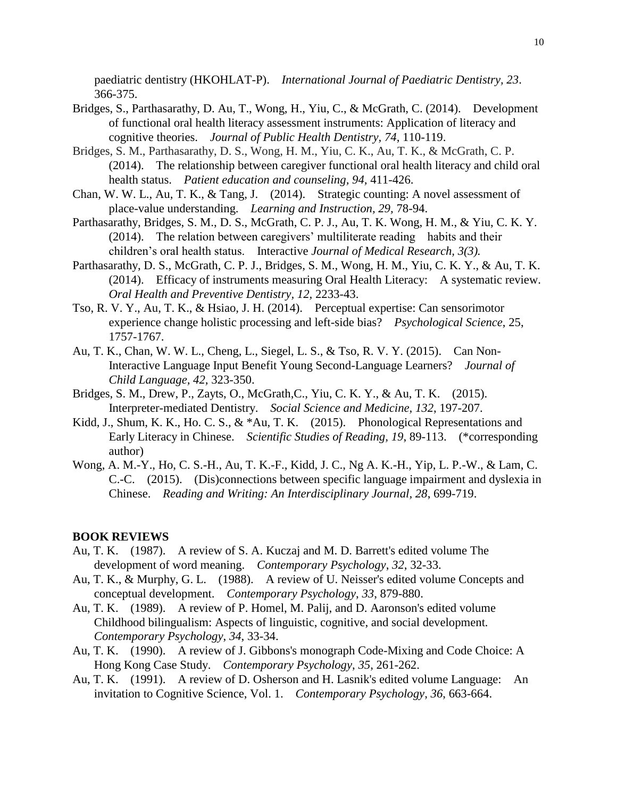paediatric dentistry (HKOHLAT-P). *International Journal of Paediatric Dentistry, 23*. 366-375.

- Bridges, S., Parthasarathy, D. Au, T., Wong, H., Yiu, C., & McGrath, C. (2014). Development of functional oral health literacy assessment instruments: Application of literacy and cognitive theories. *Journal of Public Health Dentistry, 74*, 110-119.
- Bridges, S. M., Parthasarathy, D. S., Wong, H. M., Yiu, C. K., Au, T. K., & McGrath, C. P. (2014). The relationship between caregiver functional oral health literacy and child oral health status. *Patient education and counseling, 94,* 411-426.
- Chan, W. W. L., Au, T. K., & Tang, J. (2014). Strategic counting: A novel assessment of place-value understanding. *Learning and Instruction, 29,* 78-94.
- Parthasarathy, Bridges, S. M., D. S., McGrath, C. P. J., Au, T. K. Wong, H. M., & Yiu, C. K. Y. (2014). The relation between caregivers' multiliterate reading habits and their children's oral health status. Interactive *Journal of Medical Research, 3(3).*
- Parthasarathy, D. S., McGrath, C. P. J., Bridges, S. M., Wong, H. M., Yiu, C. K. Y., & Au, T. K. (2014). Efficacy of instruments measuring Oral Health Literacy: A systematic review. *Oral Health and Preventive Dentistry, 12,* 2233-43.
- Tso, R. V. Y., Au, T. K., & Hsiao, J. H. (2014). Perceptual expertise: Can sensorimotor experience change holistic processing and left-side bias? *Psychological Science*, 25, 1757-1767.
- Au, T. K., Chan, W. W. L., Cheng, L., Siegel, L. S., & Tso, R. V. Y. (2015). Can Non-Interactive Language Input Benefit Young Second-Language Learners? *Journal of Child Language, 42,* 323-350.
- Bridges, S. M., Drew, P., Zayts, O., McGrath,C., Yiu, C. K. Y., & Au, T. K. (2015). Interpreter-mediated Dentistry. *Social Science and Medicine, 132*, 197-207.
- Kidd, J., Shum, K. K., Ho. C. S., & \*Au, T. K. (2015). Phonological Representations and Early Literacy in Chinese. *Scientific Studies of Reading, 19*, 89-113. (\*corresponding author)
- Wong, A. M.-Y., Ho, C. S.-H., Au, T. K.-F., Kidd, J. C., Ng A. K.-H., Yip, L. P.-W., & Lam, C. C.-C. (2015). (Dis)connections between specific language impairment and dyslexia in Chinese. *Reading and Writing: An Interdisciplinary Journal, 28*, 699-719.

#### **BOOK REVIEWS**

- Au, T. K. (1987). A review of S. A. Kuczaj and M. D. Barrett's edited volume The development of word meaning. *Contemporary Psychology*, *32*, 32-33.
- Au, T. K., & Murphy, G. L. (1988). A review of U. Neisser's edited volume Concepts and conceptual development. *Contemporary Psychology*, *33*, 879-880.
- Au, T. K. (1989). A review of P. Homel, M. Palij, and D. Aaronson's edited volume Childhood bilingualism: Aspects of linguistic, cognitive, and social development*. Contemporary Psychology*, *34*, 33-34.
- Au, T. K. (1990). A review of J. Gibbons's monograph Code-Mixing and Code Choice: A Hong Kong Case Study. *Contemporary Psychology*, *35*, 261-262.
- Au, T. K. (1991). A review of D. Osherson and H. Lasnik's edited volume Language: An invitation to Cognitive Science, Vol. 1. *Contemporary Psychology*, *36*, 663-664.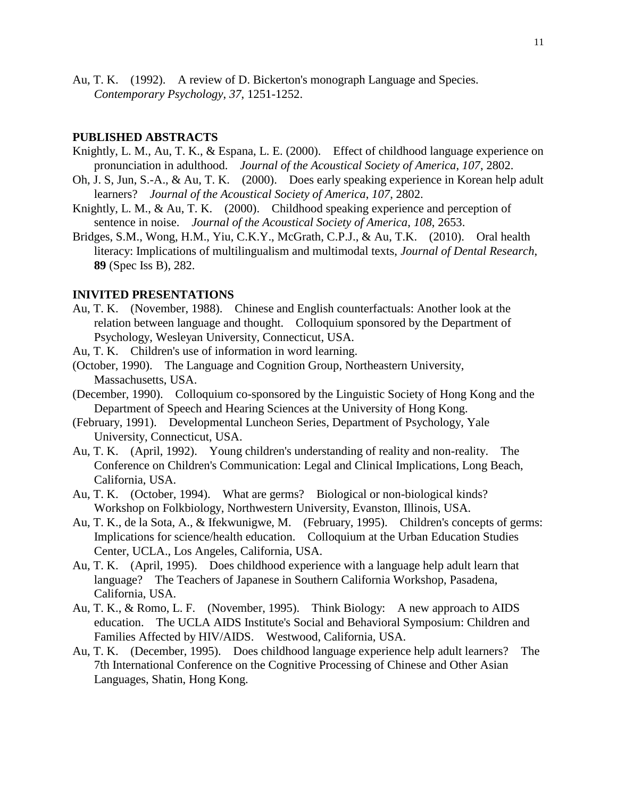Au, T. K. (1992). A review of D. Bickerton's monograph Language and Species. *Contemporary Psychology*, *37*, 1251-1252.

#### **PUBLISHED ABSTRACTS**

- Knightly, L. M., Au, T. K., & Espana, L. E. (2000). Effect of childhood language experience on pronunciation in adulthood. *Journal of the Acoustical Society of America*, *107*, 2802.
- Oh, J. S, Jun, S.-A., & Au, T. K. (2000). Does early speaking experience in Korean help adult learners? *Journal of the Acoustical Society of America*, *107*, 2802.
- Knightly, L. M., & Au, T. K. (2000). Childhood speaking experience and perception of sentence in noise. *Journal of the Acoustical Society of America*, *108*, 2653.
- Bridges, S.M., Wong, H.M., Yiu, C.K.Y., McGrath, C.P.J., & Au, T.K. (2010). Oral health literacy: Implications of multilingualism and multimodal texts, *[Journal of Dental Research](http://library.hku.hk/record=b2064028)*, **89** (Spec Iss B), 282.

#### **INIVITED PRESENTATIONS**

- Au, T. K. (November, 1988). Chinese and English counterfactuals: Another look at the relation between language and thought. Colloquium sponsored by the Department of Psychology, Wesleyan University, Connecticut, USA.
- Au, T. K. Children's use of information in word learning.
- (October, 1990). The Language and Cognition Group, Northeastern University, Massachusetts, USA.
- (December, 1990). Colloquium co-sponsored by the Linguistic Society of Hong Kong and the Department of Speech and Hearing Sciences at the University of Hong Kong.
- (February, 1991). Developmental Luncheon Series, Department of Psychology, Yale University, Connecticut, USA.
- Au, T. K. (April, 1992). Young children's understanding of reality and non-reality. The Conference on Children's Communication: Legal and Clinical Implications, Long Beach, California, USA.
- Au, T. K. (October, 1994). What are germs? Biological or non-biological kinds? Workshop on Folkbiology, Northwestern University, Evanston, Illinois, USA.
- Au, T. K., de la Sota, A., & Ifekwunigwe, M. (February, 1995). Children's concepts of germs: Implications for science/health education. Colloquium at the Urban Education Studies Center, UCLA., Los Angeles, California, USA.
- Au, T. K. (April, 1995). Does childhood experience with a language help adult learn that language? The Teachers of Japanese in Southern California Workshop, Pasadena, California, USA.
- Au, T. K., & Romo, L. F. (November, 1995). Think Biology: A new approach to AIDS education. The UCLA AIDS Institute's Social and Behavioral Symposium: Children and Families Affected by HIV/AIDS. Westwood, California, USA.
- Au, T. K. (December, 1995). Does childhood language experience help adult learners? The 7th International Conference on the Cognitive Processing of Chinese and Other Asian Languages, Shatin, Hong Kong.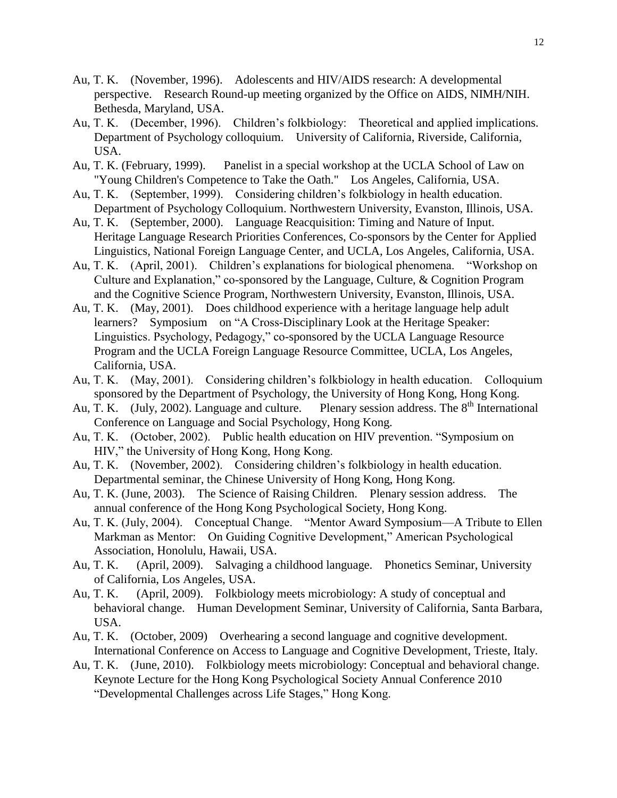- Au, T. K. (November, 1996). Adolescents and HIV/AIDS research: A developmental perspective. Research Round-up meeting organized by the Office on AIDS, NIMH/NIH. Bethesda, Maryland, USA.
- Au, T. K. (December, 1996). Children's folkbiology: Theoretical and applied implications. Department of Psychology colloquium. University of California, Riverside, California, USA.
- Au, T. K. (February, 1999). Panelist in a special workshop at the UCLA School of Law on "Young Children's Competence to Take the Oath." Los Angeles, California, USA.
- Au, T. K. (September, 1999). Considering children's folkbiology in health education. Department of Psychology Colloquium. Northwestern University, Evanston, Illinois, USA.
- Au, T. K. (September, 2000). Language Reacquisition: Timing and Nature of Input. Heritage Language Research Priorities Conferences, Co-sponsors by the Center for Applied Linguistics, National Foreign Language Center, and UCLA, Los Angeles, California, USA.
- Au, T. K. (April, 2001). Children's explanations for biological phenomena. "Workshop on Culture and Explanation," co-sponsored by the Language, Culture, & Cognition Program and the Cognitive Science Program, Northwestern University, Evanston, Illinois, USA.
- Au, T. K. (May, 2001). Does childhood experience with a heritage language help adult learners? Symposium on "A Cross-Disciplinary Look at the Heritage Speaker: Linguistics. Psychology, Pedagogy," co-sponsored by the UCLA Language Resource Program and the UCLA Foreign Language Resource Committee, UCLA, Los Angeles, California, USA.
- Au, T. K. (May, 2001). Considering children's folkbiology in health education. Colloquium sponsored by the Department of Psychology, the University of Hong Kong, Hong Kong.
- Au, T. K. (July, 2002). Language and culture. Plenary session address. The  $8<sup>th</sup>$  International Conference on Language and Social Psychology, Hong Kong.
- Au, T. K. (October, 2002). Public health education on HIV prevention. "Symposium on HIV," the University of Hong Kong, Hong Kong.
- Au, T. K. (November, 2002). Considering children's folkbiology in health education. Departmental seminar, the Chinese University of Hong Kong, Hong Kong.
- Au, T. K. (June, 2003). The Science of Raising Children. Plenary session address. The annual conference of the Hong Kong Psychological Society, Hong Kong.
- Au, T. K. (July, 2004). Conceptual Change. "Mentor Award Symposium—A Tribute to Ellen Markman as Mentor: On Guiding Cognitive Development," American Psychological Association, Honolulu, Hawaii, USA.
- Au, T. K. (April, 2009). Salvaging a childhood language. Phonetics Seminar, University of California, Los Angeles, USA.
- Au, T. K. (April, 2009). Folkbiology meets microbiology: A study of conceptual and behavioral change. Human Development Seminar, University of California, Santa Barbara, USA.
- Au, T. K. (October, 2009) Overhearing a second language and cognitive development. International Conference on Access to Language and Cognitive Development, Trieste, Italy.
- Au, T. K. (June, 2010). Folkbiology meets microbiology: Conceptual and behavioral change. Keynote Lecture for the Hong Kong Psychological Society Annual Conference 2010 "Developmental Challenges across Life Stages," Hong Kong.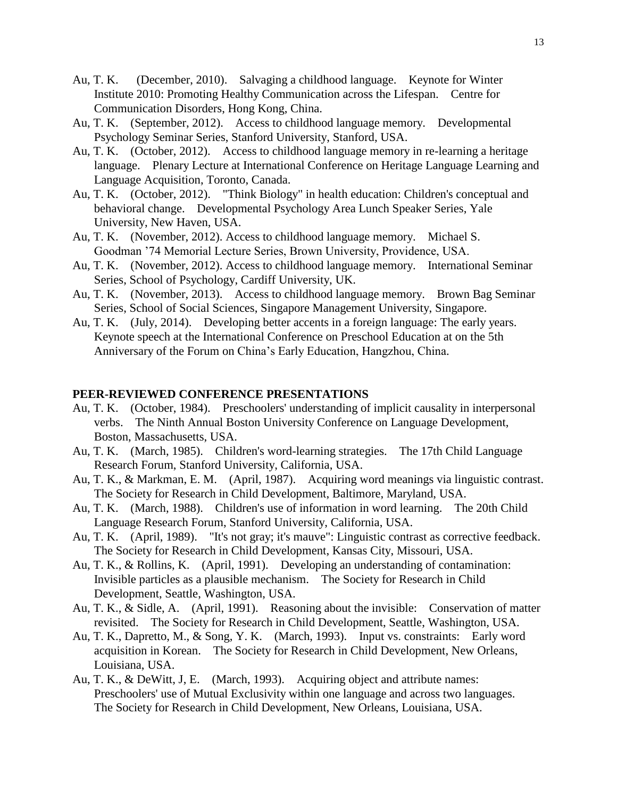- Au, T. K. (December, 2010). Salvaging a childhood language. Keynote for Winter Institute 2010: Promoting Healthy Communication across the Lifespan. Centre for Communication Disorders, Hong Kong, China.
- Au, T. K. (September, 2012). Access to childhood language memory. Developmental Psychology Seminar Series, Stanford University, Stanford, USA.
- Au, T. K. (October, 2012). Access to childhood language memory in re-learning a heritage language. Plenary Lecture at International Conference on Heritage Language Learning and Language Acquisition, Toronto, Canada.
- Au, T. K. (October, 2012). "Think Biology" in health education: Children's conceptual and behavioral change. Developmental Psychology Area Lunch Speaker Series, Yale University, New Haven, USA.
- Au, T. K. (November, 2012). Access to childhood language memory. Michael S. Goodman '74 Memorial Lecture Series, Brown University, Providence, USA.
- Au, T. K. (November, 2012). Access to childhood language memory. International Seminar Series, School of Psychology, Cardiff University, UK.
- Au, T. K. (November, 2013). Access to childhood language memory. Brown Bag Seminar Series, School of Social Sciences, Singapore Management University, Singapore.
- Au, T. K. (July, 2014). Developing better accents in a foreign language: The early years. Keynote speech at the International Conference on Preschool Education at on the 5th Anniversary of the Forum on China's Early Education, Hangzhou, China.

## **PEER-REVIEWED CONFERENCE PRESENTATIONS**

- Au, T. K. (October, 1984). Preschoolers' understanding of implicit causality in interpersonal verbs. The Ninth Annual Boston University Conference on Language Development, Boston, Massachusetts, USA.
- Au, T. K. (March, 1985). Children's word-learning strategies. The 17th Child Language Research Forum, Stanford University, California, USA.
- Au, T. K., & Markman, E. M. (April, 1987). Acquiring word meanings via linguistic contrast. The Society for Research in Child Development, Baltimore, Maryland, USA.
- Au, T. K. (March, 1988). Children's use of information in word learning. The 20th Child Language Research Forum, Stanford University, California, USA.
- Au, T. K. (April, 1989). "It's not gray; it's mauve": Linguistic contrast as corrective feedback. The Society for Research in Child Development, Kansas City, Missouri, USA.
- Au, T. K., & Rollins, K. (April, 1991). Developing an understanding of contamination: Invisible particles as a plausible mechanism. The Society for Research in Child Development, Seattle, Washington, USA.
- Au, T. K., & Sidle, A. (April, 1991). Reasoning about the invisible: Conservation of matter revisited. The Society for Research in Child Development, Seattle, Washington, USA.
- Au, T. K., Dapretto, M., & Song, Y. K. (March, 1993). Input vs. constraints: Early word acquisition in Korean. The Society for Research in Child Development, New Orleans, Louisiana, USA.
- Au, T. K., & DeWitt, J, E. (March, 1993). Acquiring object and attribute names: Preschoolers' use of Mutual Exclusivity within one language and across two languages. The Society for Research in Child Development, New Orleans, Louisiana, USA.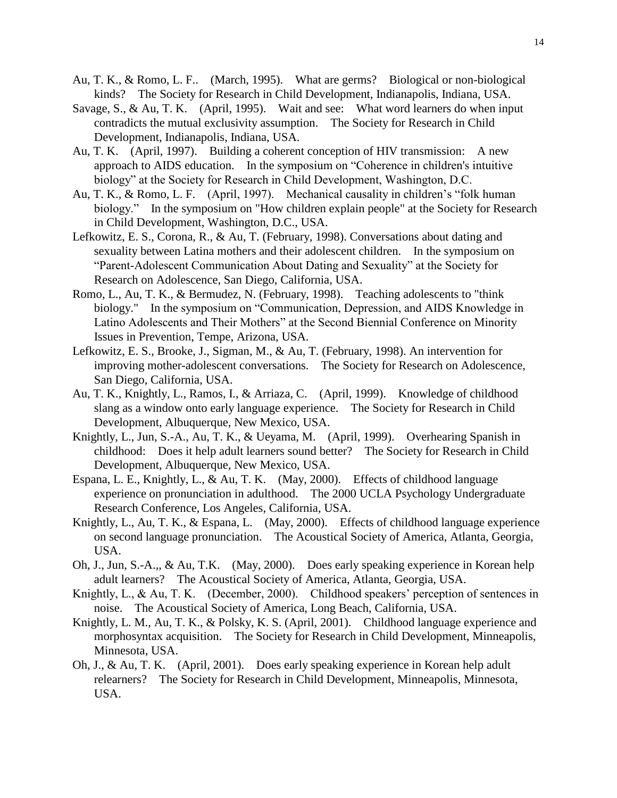- Au, T. K., & Romo, L. F.. (March, 1995). What are germs? Biological or non-biological kinds? The Society for Research in Child Development, Indianapolis, Indiana, USA.
- Savage, S., & Au, T. K. (April, 1995). Wait and see: What word learners do when input contradicts the mutual exclusivity assumption. The Society for Research in Child Development, Indianapolis, Indiana, USA.
- Au, T. K. (April, 1997). Building a coherent conception of HIV transmission: A new approach to AIDS education. In the symposium on "Coherence in children's intuitive biology" at the Society for Research in Child Development, Washington, D.C.
- Au, T. K., & Romo, L. F. (April, 1997). Mechanical causality in children's "folk human biology." In the symposium on "How children explain people" at the Society for Research in Child Development, Washington, D.C., USA.
- Lefkowitz, E. S., Corona, R., & Au, T. (February, 1998). Conversations about dating and sexuality between Latina mothers and their adolescent children. In the symposium on "Parent-Adolescent Communication About Dating and Sexuality" at the Society for Research on Adolescence, San Diego, California, USA.
- Romo, L., Au, T. K., & Bermudez, N. (February, 1998). Teaching adolescents to "think biology." In the symposium on "Communication, Depression, and AIDS Knowledge in Latino Adolescents and Their Mothers" at the Second Biennial Conference on Minority Issues in Prevention, Tempe, Arizona, USA.
- Lefkowitz, E. S., Brooke, J., Sigman, M., & Au, T. (February, 1998). An intervention for improving mother-adolescent conversations. The Society for Research on Adolescence, San Diego, California, USA.
- Au, T. K., Knightly, L., Ramos, I., & Arriaza, C. (April, 1999). Knowledge of childhood slang as a window onto early language experience. The Society for Research in Child Development, Albuquerque, New Mexico, USA.
- Knightly, L., Jun, S.-A., Au, T. K., & Ueyama, M. (April, 1999). Overhearing Spanish in childhood: Does it help adult learners sound better? The Society for Research in Child Development, Albuquerque, New Mexico, USA.
- Espana, L. E., Knightly, L., & Au, T. K. (May, 2000). Effects of childhood language experience on pronunciation in adulthood. The 2000 UCLA Psychology Undergraduate Research Conference, Los Angeles, California, USA.
- Knightly, L., Au, T. K., & Espana, L. (May, 2000). Effects of childhood language experience on second language pronunciation. The Acoustical Society of America, Atlanta, Georgia, USA.
- Oh, J., Jun, S.-A.,, & Au, T.K. (May, 2000). Does early speaking experience in Korean help adult learners? The Acoustical Society of America, Atlanta, Georgia, USA.
- Knightly, L., & Au, T. K. (December, 2000). Childhood speakers' perception of sentences in noise. The Acoustical Society of America, Long Beach, California, USA.
- Knightly, L. M., Au, T. K., & Polsky, K. S. (April, 2001). Childhood language experience and morphosyntax acquisition. The Society for Research in Child Development, Minneapolis, Minnesota, USA.
- Oh, J., & Au, T. K. (April, 2001). Does early speaking experience in Korean help adult relearners? The Society for Research in Child Development, Minneapolis, Minnesota, USA.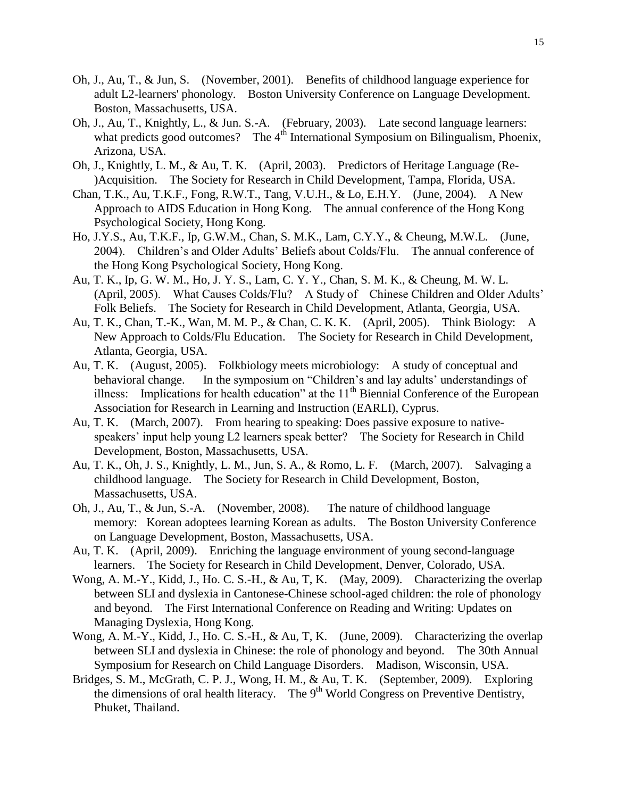- Oh, J., Au, T., & Jun, S. (November, 2001). Benefits of childhood language experience for adult L2-learners' phonology. Boston University Conference on Language Development. Boston, Massachusetts, USA.
- Oh, J., Au, T., Knightly, L., & Jun. S.-A. (February, 2003). Late second language learners: what predicts good outcomes? The 4<sup>th</sup> International Symposium on Bilingualism, Phoenix, Arizona, USA.
- Oh, J., Knightly, L. M., & Au, T. K. (April, 2003). Predictors of Heritage Language (Re- )Acquisition. The Society for Research in Child Development, Tampa, Florida, USA.
- Chan, T.K., Au, T.K.F., Fong, R.W.T., Tang, V.U.H., & Lo, E.H.Y. (June, 2004). A New Approach to AIDS Education in Hong Kong. The annual conference of the Hong Kong Psychological Society, Hong Kong.
- Ho, J.Y.S., Au, T.K.F., Ip, G.W.M., Chan, S. M.K., Lam, C.Y.Y., & Cheung, M.W.L. (June, 2004). Children's and Older Adults' Beliefs about Colds/Flu. The annual conference of the Hong Kong Psychological Society, Hong Kong.
- Au, T. K., Ip, G. W. M., Ho, J. Y. S., Lam, C. Y. Y., Chan, S. M. K., & Cheung, M. W. L. (April, 2005). What Causes Colds/Flu? A Study of Chinese Children and Older Adults' Folk Beliefs. The Society for Research in Child Development, Atlanta, Georgia, USA.
- Au, T. K., Chan, T.-K., Wan, M. M. P., & Chan, C. K. K. (April, 2005). Think Biology: A New Approach to Colds/Flu Education. The Society for Research in Child Development, Atlanta, Georgia, USA.
- Au, T. K. (August, 2005). Folkbiology meets microbiology: A study of conceptual and behavioral change. In the symposium on "Children's and lay adults' understandings of illness: Implications for health education" at the  $11<sup>th</sup>$  Biennial Conference of the European Association for Research in Learning and Instruction (EARLI), Cyprus.
- Au, T. K. (March, 2007). From hearing to speaking: Does passive exposure to nativespeakers' input help young L2 learners speak better? The Society for Research in Child Development, Boston, Massachusetts, USA.
- Au, T. K., Oh, J. S., Knightly, L. M., Jun, S. A., & Romo, L. F. (March, 2007). Salvaging a childhood language. The Society for Research in Child Development, Boston, Massachusetts, USA.
- Oh, J., Au, T., & Jun, S.-A. (November, 2008). The nature of childhood language memory: Korean adoptees learning Korean as adults. The Boston University Conference on Language Development, Boston, Massachusetts, USA.
- Au, T. K. (April, 2009). Enriching the language environment of young second-language learners. The Society for Research in Child Development, Denver, Colorado, USA.
- Wong, A. M.-Y., Kidd, J., Ho. C. S.-H., & Au, T, K. (May, 2009). Characterizing the overlap between SLI and dyslexia in Cantonese-Chinese school-aged children: the role of phonology and beyond. The First International Conference on Reading and Writing: Updates on Managing Dyslexia, Hong Kong.
- Wong, A. M.-Y., Kidd, J., Ho. C. S.-H., & Au, T, K. (June, 2009). Characterizing the overlap between SLI and dyslexia in Chinese: the role of phonology and beyond. The 30th Annual Symposium for Research on Child Language Disorders. Madison, Wisconsin, USA.
- Bridges, S. M., McGrath, C. P. J., Wong, H. M., & Au, T. K. (September, 2009). Exploring the dimensions of oral health literacy. The 9<sup>th</sup> World Congress on Preventive Dentistry, Phuket, Thailand.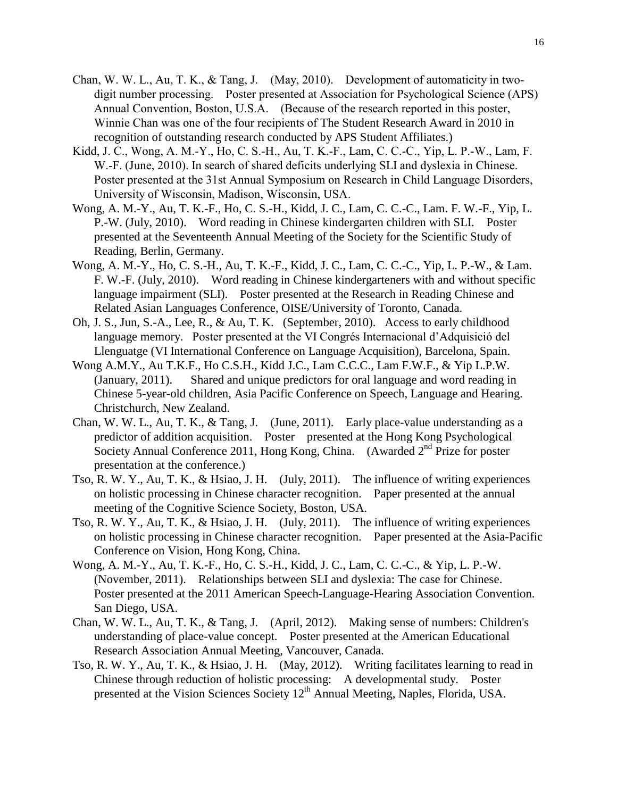- Chan, W. W. L., Au, T. K., & Tang, J. (May, 2010). Development of automaticity in twodigit number processing. Poster presented at Association for Psychological Science (APS) Annual Convention, Boston, U.S.A. (Because of the research reported in this poster, Winnie Chan was one of the four recipients of The Student Research Award in 2010 in recognition of outstanding research conducted by APS Student Affiliates.)
- Kidd, J. C., Wong, A. M.-Y., Ho, C. S.-H., Au, T. K.-F., Lam, C. C.-C., Yip, L. P.-W., Lam, F. W.-F. (June, 2010). In search of shared deficits underlying SLI and dyslexia in Chinese. Poster presented at the 31st Annual Symposium on Research in Child Language Disorders, University of Wisconsin, Madison, Wisconsin, USA.
- Wong, A. M.-Y., Au, T. K.-F., Ho, C. S.-H., Kidd, J. C., Lam, C. C.-C., Lam. F. W.-F., Yip, L. P.-W. (July, 2010). Word reading in Chinese kindergarten children with SLI. Poster presented at the Seventeenth Annual Meeting of the Society for the Scientific Study of Reading, Berlin, Germany.
- Wong, A. M.-Y., Ho, C. S.-H., Au, T. K.-F., Kidd, J. C., Lam, C. C.-C., Yip, L. P.-W., & Lam. F. W.-F. (July, 2010). Word reading in Chinese kindergarteners with and without specific language impairment (SLI). Poster presented at the Research in Reading Chinese and Related Asian Languages Conference, OISE/University of Toronto, Canada.
- Oh, J. S., Jun, S.-A., Lee, R., & Au, T. K. (September, 2010). Access to early childhood language memory. Poster presented at the VI Congrés Internacional d'Adquisició del Llenguatge (VI International Conference on Language Acquisition), Barcelona, Spain.
- Wong A.M.Y., Au T.K.F., Ho C.S.H., Kidd J.C., Lam C.C.C., Lam F.W.F., & Yip L.P.W. (January, 2011). Shared and unique predictors for oral language and word reading in Chinese 5-year-old children, Asia Pacific Conference on Speech, Language and Hearing. Christchurch, New Zealand.
- Chan, W. W. L., Au, T. K., & Tang, J. (June, 2011). Early place-value understanding as a predictor of addition acquisition. Poster presented at the Hong Kong Psychological Society Annual Conference 2011, Hong Kong, China. (Awarded 2<sup>nd</sup> Prize for poster presentation at the conference.)
- Tso, R. W. Y., Au, T. K., & Hsiao, J. H. (July, 2011). The influence of writing experiences on holistic processing in Chinese character recognition. Paper presented at the annual meeting of the Cognitive Science Society, Boston, USA.
- Tso, R. W. Y., Au, T. K., & Hsiao, J. H. (July, 2011). The influence of writing experiences on holistic processing in Chinese character recognition. Paper presented at the Asia-Pacific Conference on Vision, Hong Kong, China.
- Wong, A. M.-Y., Au, T. K.-F., Ho, C. S.-H., Kidd, J. C., Lam, C. C.-C., & Yip, L. P.-W. (November, 2011). Relationships between SLI and dyslexia: The case for Chinese. Poster presented at the 2011 American Speech-Language-Hearing Association Convention. San Diego, USA.
- Chan, W. W. L., Au, T. K., & Tang, J. (April, 2012). Making sense of numbers: Children's understanding of place-value concept. Poster presented at the American Educational Research Association Annual Meeting, Vancouver, Canada.
- Tso, R. W. Y., Au, T. K., & Hsiao, J. H. (May, 2012). Writing facilitates learning to read in Chinese through reduction of holistic processing: A developmental study. Poster presented at the Vision Sciences Society  $12<sup>th</sup>$  Annual Meeting, Naples, Florida, USA.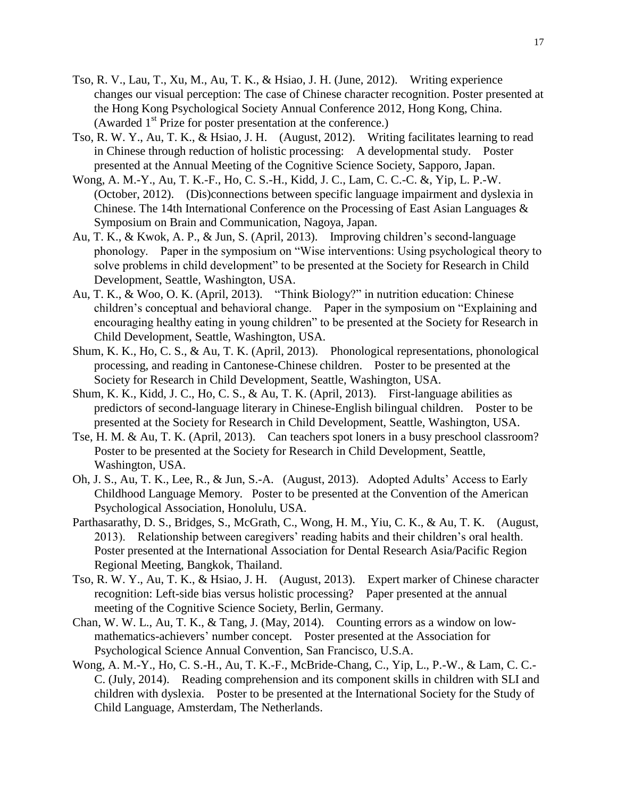- Tso, R. V., Lau, T., Xu, M., Au, T. K., & Hsiao, J. H. (June, 2012). Writing experience changes our visual perception: The case of Chinese character recognition. Poster presented at the Hong Kong Psychological Society Annual Conference 2012, Hong Kong, China. (Awarded 1<sup>st</sup> Prize for poster presentation at the conference.)
- Tso, R. W. Y., Au, T. K., & Hsiao, J. H. (August, 2012). Writing facilitates learning to read in Chinese through reduction of holistic processing: A developmental study. Poster presented at the Annual Meeting of the Cognitive Science Society, Sapporo, Japan.
- Wong, A. M.-Y., Au, T. K.-F., Ho, C. S.-H., Kidd, J. C., Lam, C. C.-C. &, Yip, L. P.-W. (October, 2012). (Dis)connections between specific language impairment and dyslexia in Chinese. The 14th International Conference on the Processing of East Asian Languages & Symposium on Brain and Communication, Nagoya, Japan.
- Au, T. K., & Kwok, A. P., & Jun, S. (April, 2013). Improving children's second-language phonology. Paper in the symposium on "Wise interventions: Using psychological theory to solve problems in child development" to be presented at the Society for Research in Child Development, Seattle, Washington, USA.
- Au, T. K., & Woo, O. K. (April, 2013). "Think Biology?" in nutrition education: Chinese children's conceptual and behavioral change. Paper in the symposium on "Explaining and encouraging healthy eating in young children" to be presented at the Society for Research in Child Development, Seattle, Washington, USA.
- Shum, K. K., Ho, C. S., & Au, T. K. (April, 2013). Phonological representations, phonological processing, and reading in Cantonese-Chinese children. Poster to be presented at the Society for Research in Child Development, Seattle, Washington, USA.
- Shum, K. K., Kidd, J. C., Ho, C. S., & Au, T. K. (April, 2013). First-language abilities as predictors of second-language literary in Chinese-English bilingual children. Poster to be presented at the Society for Research in Child Development, Seattle, Washington, USA.
- Tse, H. M. & Au, T. K. (April, 2013). Can teachers spot loners in a busy preschool classroom? Poster to be presented at the Society for Research in Child Development, Seattle, Washington, USA.
- Oh, J. S., Au, T. K., Lee, R., & Jun, S.-A. (August, 2013). Adopted Adults' Access to Early Childhood Language Memory. Poster to be presented at the Convention of the American Psychological Association, Honolulu, USA.
- Parthasarathy, D. S., Bridges, S., McGrath, C., Wong, H. M., Yiu, C. K., & Au, T. K. (August, 2013). Relationship between caregivers' reading habits and their children's oral health. Poster presented at the International Association for Dental Research Asia/Pacific Region Regional Meeting, Bangkok, Thailand.
- Tso, R. W. Y., Au, T. K., & Hsiao, J. H. (August, 2013). Expert marker of Chinese character recognition: Left-side bias versus holistic processing? Paper presented at the annual meeting of the Cognitive Science Society, Berlin, Germany.
- Chan, W. W. L., Au, T. K., & Tang, J. (May, 2014). Counting errors as a window on lowmathematics-achievers' number concept. Poster presented at the Association for Psychological Science Annual Convention, San Francisco, U.S.A.
- Wong, A. M.-Y., Ho, C. S.-H., Au, T. K.-F., McBride-Chang, C., Yip, L., P.-W., & Lam, C. C.- C. (July, 2014). Reading comprehension and its component skills in children with SLI and children with dyslexia. Poster to be presented at the International Society for the Study of Child Language, Amsterdam, The Netherlands.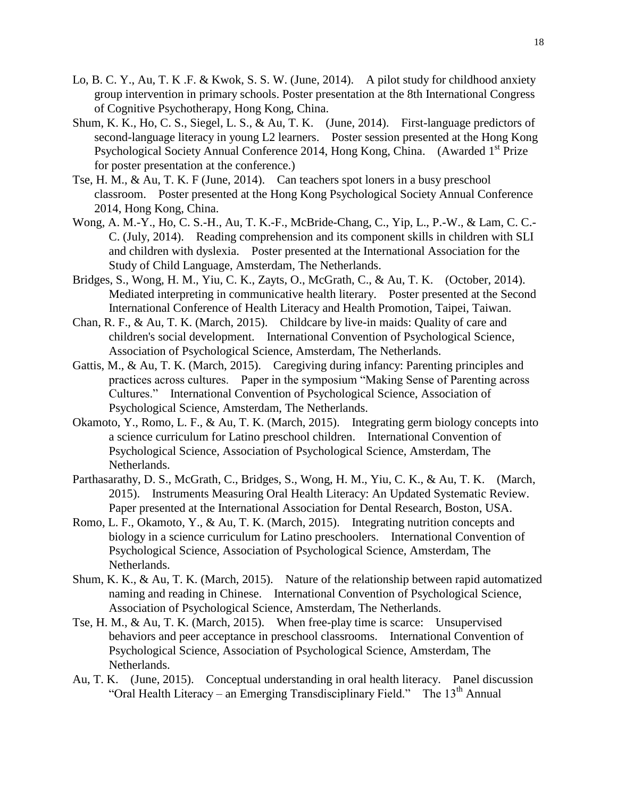- Lo, B. C. Y., Au, T. K .F. & Kwok, S. S. W. (June, 2014). A pilot study for childhood anxiety group intervention in primary schools. Poster presentation at the 8th International Congress of Cognitive Psychotherapy, Hong Kong, China.
- Shum, K. K., Ho, C. S., Siegel, L. S., & Au, T. K. (June, 2014). First-language predictors of second-language literacy in young L2 learners. Poster session presented at the Hong Kong Psychological Society Annual Conference 2014, Hong Kong, China. (Awarded 1<sup>st</sup> Prize for poster presentation at the conference.)
- Tse, H. M., & Au, T. K. F (June, 2014). Can teachers spot loners in a busy preschool classroom. Poster presented at the Hong Kong Psychological Society Annual Conference 2014, Hong Kong, China.
- Wong, A. M.-Y., Ho, C. S.-H., Au, T. K.-F., McBride-Chang, C., Yip, L., P.-W., & Lam, C. C.- C. (July, 2014). Reading comprehension and its component skills in children with SLI and children with dyslexia. Poster presented at the International Association for the Study of Child Language, Amsterdam, The Netherlands.
- Bridges, S., Wong, H. M., Yiu, C. K., Zayts, O., McGrath, C., & Au, T. K. (October, 2014). Mediated interpreting in communicative health literary. Poster presented at the Second International Conference of Health Literacy and Health Promotion, Taipei, Taiwan.
- Chan, R. F., & Au, T. K. (March, 2015). Childcare by live-in maids: Quality of care and children's social development. International Convention of Psychological Science, Association of Psychological Science, Amsterdam, The Netherlands.
- Gattis, M., & Au, T. K. (March, 2015). Caregiving during infancy: Parenting principles and practices across cultures. Paper in the symposium "Making Sense of Parenting across Cultures." International Convention of Psychological Science, Association of Psychological Science, Amsterdam, The Netherlands.
- Okamoto, Y., Romo, L. F., & Au, T. K. (March, 2015). Integrating germ biology concepts into a science curriculum for Latino preschool children. International Convention of Psychological Science, Association of Psychological Science, Amsterdam, The Netherlands.
- Parthasarathy, D. S., McGrath, C., Bridges, S., Wong, H. M., Yiu, C. K., & Au, T. K. (March, 2015). Instruments Measuring Oral Health Literacy: An Updated Systematic Review. Paper presented at the International Association for Dental Research, Boston, USA.
- Romo, L. F., Okamoto, Y., & Au, T. K. (March, 2015). Integrating nutrition concepts and biology in a science curriculum for Latino preschoolers. International Convention of Psychological Science, Association of Psychological Science, Amsterdam, The Netherlands.
- Shum, K. K., & Au, T. K. (March, 2015). Nature of the relationship between rapid automatized naming and reading in Chinese. International Convention of Psychological Science, Association of Psychological Science, Amsterdam, The Netherlands.
- Tse, H. M., & Au, T. K. (March, 2015). When free-play time is scarce: Unsupervised behaviors and peer acceptance in preschool classrooms. International Convention of Psychological Science, Association of Psychological Science, Amsterdam, The Netherlands.
- Au, T. K. (June, 2015). Conceptual understanding in oral health literacy. Panel discussion "Oral Health Literacy – an Emerging Transdisciplinary Field." The  $13<sup>th</sup>$  Annual